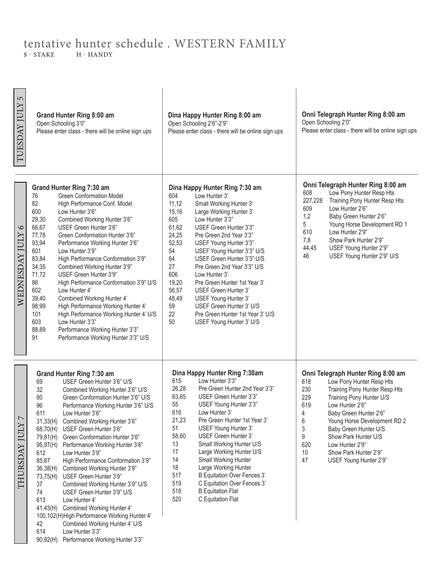## tentative hunter schedule . WESTERN FAMILY  $S-STATEB$  $$ - STATE$

| 5<br>TUESDAY JULY               | Grand Hunter Ring 8:00 am<br>Open Schooling 3'0"<br>Please enter class - there will be online sign ups                                                                                                                                                                                                                                                                                                                                                                                                                                                                                                                                                                                                                                                                                                                                                                             | Dina Happy Hunter Ring 8:00 am<br>Open Schooling 2'6"-2'9"<br>Please enter class - there will be online sign ups                                                                                                                                                                                                                                                                                                                                                                                                                                                                                                                 | Onni Telegraph Hunter Ring 8:00 am<br>Open Schooling 2'0"<br>Please enter class - there will be online sign ups                                                                                                                                                                                                                                                                                    |
|---------------------------------|------------------------------------------------------------------------------------------------------------------------------------------------------------------------------------------------------------------------------------------------------------------------------------------------------------------------------------------------------------------------------------------------------------------------------------------------------------------------------------------------------------------------------------------------------------------------------------------------------------------------------------------------------------------------------------------------------------------------------------------------------------------------------------------------------------------------------------------------------------------------------------|----------------------------------------------------------------------------------------------------------------------------------------------------------------------------------------------------------------------------------------------------------------------------------------------------------------------------------------------------------------------------------------------------------------------------------------------------------------------------------------------------------------------------------------------------------------------------------------------------------------------------------|----------------------------------------------------------------------------------------------------------------------------------------------------------------------------------------------------------------------------------------------------------------------------------------------------------------------------------------------------------------------------------------------------|
| $\circ$<br>WEDNESDAY JULY       | Grand Hunter Ring 7:30 am<br><b>Green Conformation Model</b><br>76<br>82<br>High Performance Conf. Model<br>600<br>Low Hunter 3'6"<br>29,30<br>Combined Working Hunter 3'6"<br>66,67<br>USEF Green Hunter 3'6"<br>77,78<br>Green Conformation Hunter 3'6"<br>93,94<br>Performance Working Hunter 3'6"<br>601<br>Low Hunter 3'9"<br>83,84<br>High Performance Conformation 3'9"<br>34,35<br>Combined Working Hunter 3'9"<br>71,72<br>USEF Green Hunter 3'9"<br>86<br>High Performance Conformation 3'9" U/S<br>602<br>Low Hunter 4'<br>39,40<br>Combined Working Hunter 4'<br>98,99<br>High Performance Working Hunter 4'<br>101<br>High Performance Working Hunter 4' U/S<br>603<br>Low Hunter 3'3"<br>88,89<br>Performance Working Hunter 3'3"<br>91<br>Performance Working Hunter 3'3" U/S                                                                                       | Dina Happy Hunter Ring 7:30 am<br>604<br>Low Hunter 3'<br>11,12<br>Small Working Hunter 3'<br>15,16<br>Large Working Hunter 3'<br>605<br>Low Hunter 3'3"<br>61,62<br>USEF Green Hunter 3'3"<br>24,25<br>Pre Green 2nd Year 3'3"<br>52,53<br>USEF Young Hunter 3'3"<br>54<br>USEF Young Hunter 3'3" U/S<br>64<br>USEF Green Hunter 3'3" U/S<br>27<br>Pre Green 2nd Year 3'3" U/S<br>606<br>Low Hunter 3'<br>19,20<br>Pre Green Hunter 1st Year 3'<br>56,57<br>USEF Green Hunter 3'<br>48,49<br>USEF Young Hunter 3'<br>59<br>USEF Green Hunter 3' U/S<br>22<br>Pre Green Hunter 1st Year 3' U/S<br>50<br>USEF Young Hunter 3' U/S | Onni Telegraph Hunter Ring 8:00 am<br>608<br>Low Pony Hunter Resp Hts<br>227,228<br>Training Pony Hunter Resp Hts<br>Low Hunter 2'6"<br>609<br>1,2<br>Baby Green Hunter 2'6"<br>5<br>Young Horse Development RD 1<br>610<br>Low Hunter 2'9"<br>7,8<br>Show Park Hunter 2'9"<br>44,45<br>USEF Young Hunter 2'9"<br>46<br>USEF Young Hunter 2'9" U/S                                                 |
| $\overline{C}$<br>THURSDAY JULY | Grand Hunter Ring 7:30 am<br>USEF Green Hunter 3'6" U/S<br>69<br>32<br>Combined Working Hunter 3'6" U/S<br>80<br>Green Conformation Hunter 3'6" U/S<br>96<br>Performance Working Hunter 3'6" U/S<br>611<br>Low Hunter 3'6"<br>Combined Working Hunter 3'6"<br>31,33(H)<br>USEF Green Hunter 3'6"<br>68,70(H)<br>79,81(H)<br>Green Conformation Hunter 3'6"<br>95,97(H)<br>Performance Working Hunter 3'6"<br>612<br>Low Hunter 3'9"<br>85,87<br>High Performance Conformation 3'9"<br>Combined Working Hunter 3'9"<br>36,38(H)<br>73,75(H) USEF Green Hunter 3'9"<br>37<br>Combined Working Hunter 3'9" U/S<br>74<br>USEF Green Hunter 3'9" U/S<br>613<br>Low Hunter 4'<br>Combined Working Hunter 4'<br>41,43(H)<br>100,102(H)High Performance Working Hunter 4'<br>Combined Working Hunter 4' U/S<br>42<br>614<br>Low Hunter 3'3"<br>Performance Working Hunter 3'3"<br>90,92(H) | Dina Happy Hunter Ring 7:30am<br>615<br>Low Hunter 3'3"<br>26,28<br>Pre Green Hunter 2nd Year 3'3"<br>63,65<br>USEF Green Hunter 3'3"<br>55<br>USEF Young Hunter 3'3"<br>616<br>Low Hunter 3'<br>21,23<br>Pre Green Hunter 1st Year 3'<br>51<br>USEF Young Hunter 3'<br>58,60<br>USEF Green Hunter 3'<br>Small Working Hunter U/S<br>13<br>17<br>Large Working Hunter U/S<br>14<br><b>Small Working Hunter</b><br>18<br>Large Working Hunter<br>517<br><b>B Equitation Over Fences 3'</b><br>519<br>C Equitation Over Fences 3'<br>518<br><b>B</b> Equitation Flat<br>520<br>C Equitation Flat                                   | Onni Telegraph Hunter Ring 8:00 am<br>Low Pony Hunter Resp Hts<br>618<br>Training Pony Hunter Resp Hts<br>230<br>229<br>Training Pony Hunter U/S<br>619<br>Low Hunter 2'6"<br>Baby Green Hunter 2'6'<br>4<br>6<br>Young Horse Development RD 2<br>3<br>Baby Green Hunter U/S<br>9<br>Show Park Hunter U/S<br>620<br>Low Hunter 2'9"<br>10<br>Show Park Hunter 2'9"<br>47<br>USEF Young Hunter 2'9" |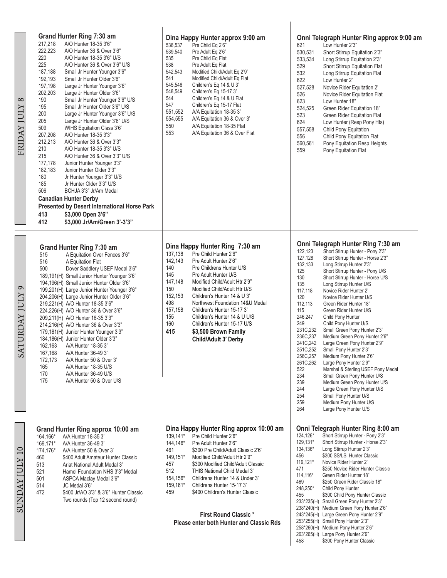| $^{\circ}$<br>FRIDAY JULY     | Grand Hunter Ring 7:30 am<br>217,218<br>A/O Hunter 18-35 3'6"<br>222,223<br>A/O Hunter 36 & Over 3'6"<br>220<br>A/O Hunter 18-35 3'6" U/S<br>225<br>A/O Hunter 36 & Over 3'6" U/S<br>187,188<br>Small Jr Hunter Younger 3'6"<br>192,193<br>Small Jr Hunter Older 3'6"<br>197,198<br>Large Jr Hunter Younger 3'6"<br>202,203<br>Large Jr Hunter Older 3'6"<br>190<br>Small Jr Hunter Younger 3'6" U/S<br>195<br>Small Jr Hunter Older 3'6" U/S<br>200<br>Large Jr Hunter Younger 3'6" U/S<br>205<br>Large Jr Hunter Older 3'6" U/S<br>509<br>WIHS Equitation Class 3'6"<br>207,208<br>A/O Hunter 18-35 3'3"<br>212,213<br>A/O Hunter 36 & Over 3'3"<br>210<br>A/O Hunter 18-35 3'3" U/S<br>215<br>A/O Hunter 36 & Over 3'3" U/S<br>177,178<br>Junior Hunter Younger 3'3"<br>182,183<br>Junior Hunter Older 3'3"<br>180<br>Jr Hunter Younger 3'3" U/S<br>185<br>Jr Hunter Older 3'3" U/S<br>506<br>BCHJA 3'3" Jr/Am Medal<br><b>Canadian Hunter Derby</b><br>Presented by Desert International Horse Park<br>413<br>\$3,000 Open 3'6"<br>412<br>\$3,000 Jr/Am/Green 3'-3'3" | Dina Happy Hunter approx 9:00 am<br>536,537<br>Pre Child Eq 2'6"<br>539,540<br>Pre Adult Eq 2'6"<br>535<br>Pre Child Eq Flat<br>538<br>Pre Adult Eq Flat<br>542,543<br>Modified Child/Adult Eq 2'9"<br>541<br>Modified Child/Adult Eq Flat<br>545,546<br>Children's Eq 14 & U 3'<br>548,549<br>Children's Eq 15-17 3'<br>544<br>Children's Eq 14 & U Flat<br>547<br>Children's Eq 15-17 Flat<br>551,552<br>A/A Equitation 18-35 3'<br>554,555<br>A/A Equitation 36 & Over 3'<br>550<br>A/A Equitation 18-35 Flat<br>553<br>A/A Equitation 36 & Over Flat | Onni Telegraph Hunter Ring approx 9:00 am<br>621<br>Low Hunter 2'3"<br>530,531<br>Short Stirrup Equitation 2'3"<br>533,534<br>Long Stirrup Equitation 2'3"<br>529<br>Short Stirrup Equitation Flat<br>532<br>Long Stirrup Equitation Flat<br>622<br>Low Hunter 2'<br>527,528<br>Novice Rider Equitation 2'<br>526<br>Novice Rider Equitation Flat<br>623<br>Low Hunter 18"<br>524,525<br>Green Rider Equitation 18"<br>523<br>Green Rider Equitation Flat<br>624<br>Low Hunter (Resp Pony Hts)<br>557,558<br>Child Pony Equitation<br>556<br>Child Pony Equitation Flat<br>560,561<br>Pony Equitation Resp Heights<br>559<br>Pony Equitation Flat                                                                                                                                                                                                                                                                                                                                                                                          |
|-------------------------------|---------------------------------------------------------------------------------------------------------------------------------------------------------------------------------------------------------------------------------------------------------------------------------------------------------------------------------------------------------------------------------------------------------------------------------------------------------------------------------------------------------------------------------------------------------------------------------------------------------------------------------------------------------------------------------------------------------------------------------------------------------------------------------------------------------------------------------------------------------------------------------------------------------------------------------------------------------------------------------------------------------------------------------------------------------------------------|----------------------------------------------------------------------------------------------------------------------------------------------------------------------------------------------------------------------------------------------------------------------------------------------------------------------------------------------------------------------------------------------------------------------------------------------------------------------------------------------------------------------------------------------------------|--------------------------------------------------------------------------------------------------------------------------------------------------------------------------------------------------------------------------------------------------------------------------------------------------------------------------------------------------------------------------------------------------------------------------------------------------------------------------------------------------------------------------------------------------------------------------------------------------------------------------------------------------------------------------------------------------------------------------------------------------------------------------------------------------------------------------------------------------------------------------------------------------------------------------------------------------------------------------------------------------------------------------------------------|
| $\sigma$<br>TURDAY JULY<br>SS | Grand Hunter Ring 7:30 am<br>515<br>A Equitation Over Fences 3'6"<br>516<br>A Equitation Flat<br>500<br>Dover Saddlery USEF Medal 3'6"<br>189,191(H) Small Junior Hunter Younger 3'6"<br>194,196(H) Small Junior Hunter Older 3'6"<br>199,201(H) Large Junior Hunter Younger 3'6"<br>204,206(H) Large Junior Hunter Older 3'6"<br>219,221(H) A/O Hunter 18-35 3'6"<br>224,226(H) A/O Hunter 36 & Over 3'6"<br>209,211(H) A/O Hunter 18-35 3'3"<br>214,216(H) A/O Hunter 36 & Over 3'3"<br>179,181(H) Junior Hunter Younger 3'3"<br>184,186(H) Junior Hunter Older 3'3"<br>162,163 A/A Hunter 18-35 3'<br>167,168<br>A/A Hunter 36-49 3'<br>172,173<br>A/A Hunter 50 & Over 3'<br>165<br>A/A Hunter 18-35 U/S<br>170<br>A/A Hunter 36-49 U/S<br>175<br>A/A Hunter 50 & Over U/S                                                                                                                                                                                                                                                                                            | Dina Happy Hunter Ring 7:30 am<br>137,138<br>Pre Child Hunter 2'6"<br>142,143<br>Pre Adult Hunter 2'6"<br>140<br>Pre Childrens Hunter U/S<br>145<br>Pre Adult Hunter U/S<br>147,148<br>Modified Child/Adult Htr 2'9"<br>150<br>Modified Child/Adult Htr U/S<br>152,153<br>Children's Hunter 14 & U 3'<br>498<br>Northwest Foundation 14&U Medal<br>157,158<br>Children's Hunter 15-17 3'<br>155<br>Children's Hunter 14 & U U/S<br>160<br>Children's Hunter 15-17 U/S<br>415<br>\$3,500 Brown Family<br><b>Child/Adult 3' Derby</b>                      | Onni Telegraph Hunter Ring 7:30 am<br>122,123<br>Short Stirrup Hunter - Pony 2'3"<br>127,128<br>Short Stirrup Hunter - Horse 2'3"<br>132,133<br>Long Stirrup Hunter 2'3"<br>125<br>Short Stirrup Hunter - Pony U/S<br>130<br>Short Stirrup Hunter - Horse U/S<br>135<br>Long Stirrup Hunter U/S<br>117,118<br>Novice Rider Hunter 2'<br>120<br>Novice Rider Hunter U/S<br>112,113<br>Green Rider Hunter 18"<br>115<br>Green Rider Hunter U/S<br>246,247<br>Child Pony Hunter<br>249<br>Child Pony Hunter U/S<br>231C, 232<br>Small Green Pony Hunter 2'3"<br>236C, 237<br>Medium Green Pony Hunter 2'6"<br>241C, 242<br>Large Green Pony Hunter 2'9"<br>251C,252<br>Small Pony Hunter 2'3"<br>256C, 257<br>Medium Pony Hunter 2'6"<br>261C, 262<br>Large Pony Hunter 2'9"<br>Marshal & Sterling USEF Pony Medal<br>522<br>234<br>Small Green Pony Hunter U/S<br>239<br>Medium Green Pony Hunter U/S<br>244<br>Large Green Pony Hunter U/S<br>Small Pony Hunter U/S<br>254<br>259<br>Medium Pony Hunter U/S<br>264<br>Large Pony Hunter U/S |
| <b>SUNDAY JULY 10</b>         | Grand Hunter Ring approx 10:00 am<br>164,166*<br>A/A Hunter 18-35 3'<br>169,171*<br>A/A Hunter 36-49 3'<br>174,176*<br>A/A Hunter 50 & Over 3'<br>460<br>\$400 Adult Amateur Hunter Classic<br>513<br>Ariat National Adult Medal 3'<br>521<br>Hamel Foundation NHS 3'3" Medal<br>501<br>ASPCA Maclay Medal 3'6"<br>514<br>JC Medal 3'6"<br>472<br>\$400 Jr/AO 3'3" & 3'6" Hunter Classic<br>Two rounds (Top 12 second round)                                                                                                                                                                                                                                                                                                                                                                                                                                                                                                                                                                                                                                              | Dina Happy Hunter Ring approx 10:00 am<br>Pre Child Hunter 2'6"<br>139,141*<br>144,146*<br>Pre Adult Hunter 2'6"<br>\$300 Pre Child/Adult Classic 2'6"<br>461<br>149,151*<br>Modified Child/Adult Htr 2'9"<br>457<br>\$300 Modified Child/Adult Classic<br>512<br>THIS National Child Medal 3'<br>154,156*<br>Childrens Hunter 14 & Under 3'<br>159,161*<br>Childrens Hunter 15-17 3'<br>459<br>\$400 Children's Hunter Classic<br><b>First Round Classic*</b><br>Please enter both Hunter and Classic Rds                                               | Onni Telegraph Hunter Ring 8:00 am<br>Short Stirrup Hunter - Pony 2'3"<br>124,126*<br>129,131*<br>Short Stirrup Hunter - Horse 2'3"<br>Long Stirrup Hunter 2'3"<br>134,136*<br>456<br>\$300 SS/LS Hunter Classic<br>119,121*<br>Novice Rider Hunter 2'<br>471<br>\$250 Novice Rider Hunter Classic<br>114,116*<br>Green Rider Hunter 18"<br>469<br>\$250 Green Rider Classic 18"<br>248,250*<br>Child Pony Hunter<br>\$300 Child Pony Hunter Classic<br>455<br>233*235(H) Small Green Pony Hunter 2'3"<br>238*240(H) Medium Green Pony Hunter 2'6"<br>243*245(H) Large Green Pony Hunter 2'9"<br>253*255(H) Small Pony Hunter 2'3"<br>258*260(H) Medium Pony Hunter 2'6"<br>263*265(H) Large Pony Hunter 2'9"<br>458<br>\$300 Pony Hunter Classic                                                                                                                                                                                                                                                                                          |